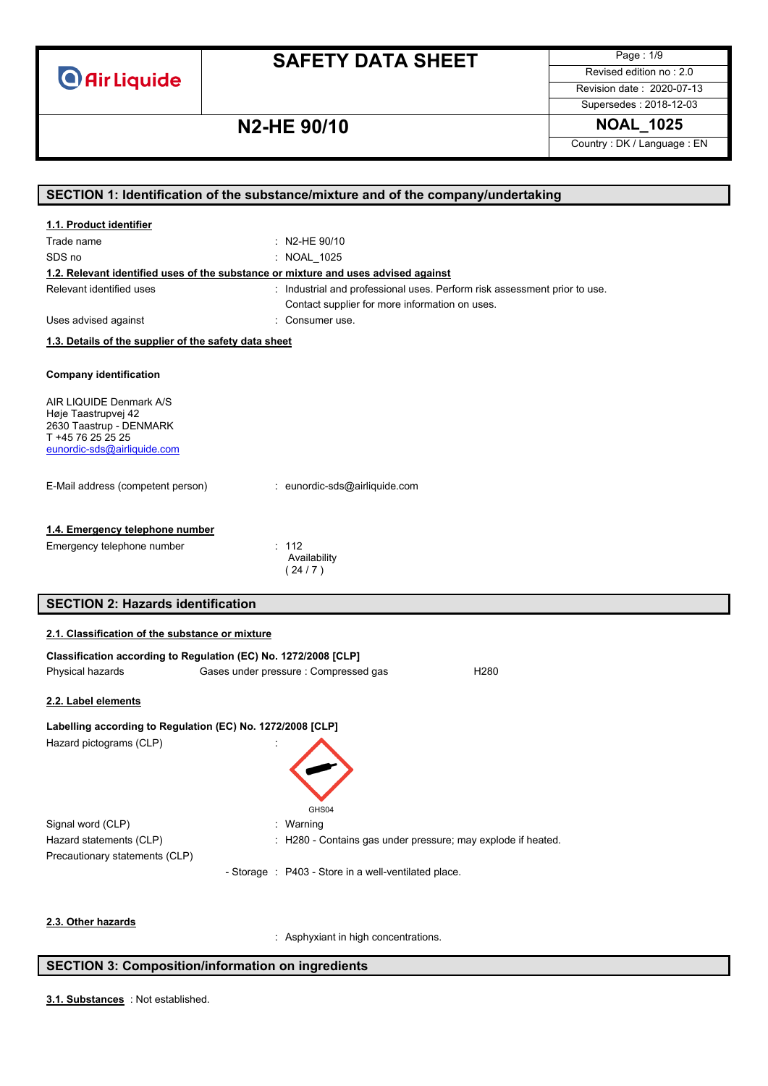

Page : 1/9 Revised edition no : 2.0

Revision date : 2020-07-13 Supersedes : 2018-12-03

## **N2-HE 90/10 NOAL\_1025**

Country : DK / Language : EN

| SECTION 1: Identification of the substance/mixture and of the company/undertaking  |                                                                           |  |
|------------------------------------------------------------------------------------|---------------------------------------------------------------------------|--|
| 1.1. Product identifier                                                            |                                                                           |  |
| Trade name                                                                         | : N2-HE $90/10$                                                           |  |
| SDS no                                                                             | : NOAL_1025                                                               |  |
| 1.2. Relevant identified uses of the substance or mixture and uses advised against |                                                                           |  |
| Relevant identified uses                                                           | : Industrial and professional uses. Perform risk assessment prior to use. |  |
|                                                                                    | Contact supplier for more information on uses.                            |  |
| Uses advised against                                                               | : Consumer use.                                                           |  |
| 1.3. Details of the supplier of the safety data sheet                              |                                                                           |  |
|                                                                                    |                                                                           |  |
| <b>Company identification</b>                                                      |                                                                           |  |
| AIR LIQUIDE Denmark A/S                                                            |                                                                           |  |
| Høje Taastrupvej 42                                                                |                                                                           |  |
| 2630 Taastrup - DENMARK<br>T +45 76 25 25 25                                       |                                                                           |  |
| eunordic-sds@airliquide.com                                                        |                                                                           |  |
|                                                                                    |                                                                           |  |
| E-Mail address (competent person)                                                  | : eunordic-sds@airliquide.com                                             |  |
|                                                                                    |                                                                           |  |
| 1.4. Emergency telephone number                                                    |                                                                           |  |
|                                                                                    | : 112                                                                     |  |
| Emergency telephone number                                                         | Availability                                                              |  |
|                                                                                    | (24/7)                                                                    |  |
|                                                                                    |                                                                           |  |
| <b>SECTION 2: Hazards identification</b>                                           |                                                                           |  |
| 2.1. Classification of the substance or mixture                                    |                                                                           |  |
| Classification according to Regulation (EC) No. 1272/2008 [CLP]                    |                                                                           |  |
| Physical hazards<br>Gases under pressure : Compressed gas<br>H <sub>280</sub>      |                                                                           |  |
|                                                                                    |                                                                           |  |
| 2.2. Label elements                                                                |                                                                           |  |
| Labelling according to Regulation (EC) No. 1272/2008 [CLP]                         |                                                                           |  |
| Hazard pictograms (CLP)                                                            |                                                                           |  |
|                                                                                    |                                                                           |  |
|                                                                                    |                                                                           |  |
|                                                                                    |                                                                           |  |
|                                                                                    | GHS04                                                                     |  |
| Signal word (CLP)                                                                  | : Warning                                                                 |  |
| Hazard statements (CLP)                                                            | : H280 - Contains gas under pressure; may explode if heated.              |  |
| Precautionary statements (CLP)                                                     |                                                                           |  |
|                                                                                    | - Storage : P403 - Store in a well-ventilated place.                      |  |
|                                                                                    |                                                                           |  |
| 2.3. Other hazards                                                                 |                                                                           |  |
|                                                                                    | : Asphyxiant in high concentrations.                                      |  |

### **SECTION 3: Composition/information on ingredients**

: Not established. **3.1. Substances**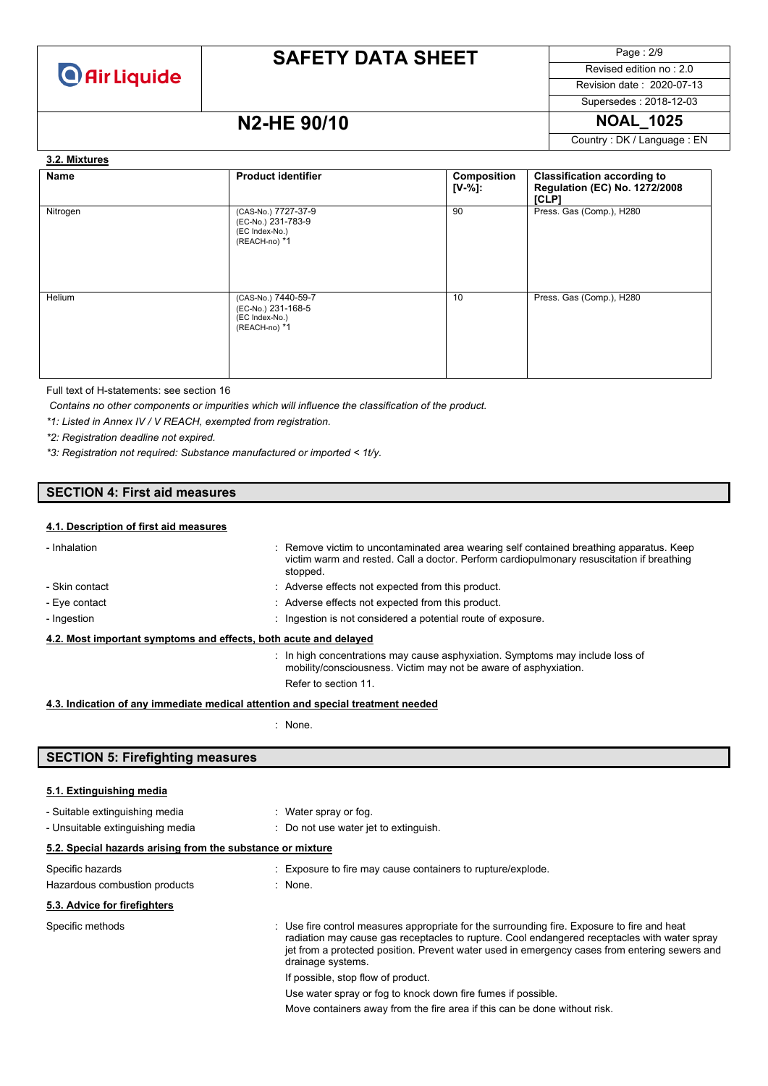

Page : 2/9 Revised edition no : 2.0

Revision date : 2020-07-13 Supersedes : 2018-12-03

### **N2-HE 90/10 NOAL\_1025**

Country : DK / Language : EN

#### **3.2. Mixtures**

| Name     | <b>Product identifier</b>                                                    | Composition<br>$[V-%]:$ | <b>Classification according to</b><br>Regulation (EC) No. 1272/2008<br>[CLP] |
|----------|------------------------------------------------------------------------------|-------------------------|------------------------------------------------------------------------------|
| Nitrogen | (CAS-No.) 7727-37-9<br>(EC-No.) 231-783-9<br>(EC Index-No.)<br>(REACH-no) *1 | 90                      | Press. Gas (Comp.), H280                                                     |
| Helium   | (CAS-No.) 7440-59-7<br>(EC-No.) 231-168-5<br>(EC Index-No.)<br>(REACH-no) *1 | 10                      | Press. Gas (Comp.), H280                                                     |

Full text of H-statements: see section 16

*Contains no other components or impurities which will influence the classification of the product.*

*\*1: Listed in Annex IV / V REACH, exempted from registration.*

*\*2: Registration deadline not expired.*

*\*3: Registration not required: Substance manufactured or imported < 1t/y.*

### **SECTION 4: First aid measures**

### **4.1. Description of first aid measures**

| - Inhalation                                                                    | : Remove victim to uncontaminated area wearing self contained breathing apparatus. Keep<br>victim warm and rested. Call a doctor. Perform cardiopulmonary resuscitation if breathing<br>stopped. |
|---------------------------------------------------------------------------------|--------------------------------------------------------------------------------------------------------------------------------------------------------------------------------------------------|
| - Skin contact                                                                  | : Adverse effects not expected from this product.                                                                                                                                                |
| - Eve contact                                                                   | : Adverse effects not expected from this product.                                                                                                                                                |
| - Ingestion                                                                     | : Ingestion is not considered a potential route of exposure.                                                                                                                                     |
| 4.2. Most important symptoms and effects, both acute and delayed                |                                                                                                                                                                                                  |
|                                                                                 | : In high concentrations may cause asphyxiation. Symptoms may include loss of<br>mobility/consciousness. Victim may not be aware of asphyxiation.                                                |
|                                                                                 | Refer to section 11.                                                                                                                                                                             |
| 4.3. Indication of any immediate medical attention and special treatment needed |                                                                                                                                                                                                  |

: None.

### **SECTION 5: Firefighting measures**

#### **5.1. Extinguishing media**

| - Suitable extinguishing media<br>- Unsuitable extinguishing media | : Water spray or fog.<br>: Do not use water jet to extinguish.                                                                                                                                                                                                                                                    |
|--------------------------------------------------------------------|-------------------------------------------------------------------------------------------------------------------------------------------------------------------------------------------------------------------------------------------------------------------------------------------------------------------|
| 5.2. Special hazards arising from the substance or mixture         |                                                                                                                                                                                                                                                                                                                   |
| Specific hazards<br>Hazardous combustion products                  | : Exposure to fire may cause containers to rupture/explode.<br>: None.                                                                                                                                                                                                                                            |
| 5.3. Advice for firefighters                                       |                                                                                                                                                                                                                                                                                                                   |
| Specific methods                                                   | : Use fire control measures appropriate for the surrounding fire. Exposure to fire and heat<br>radiation may cause gas receptacles to rupture. Cool endangered receptacles with water spray<br>jet from a protected position. Prevent water used in emergency cases from entering sewers and<br>drainage systems. |
|                                                                    | If possible, stop flow of product.                                                                                                                                                                                                                                                                                |
|                                                                    | Use water spray or fog to knock down fire fumes if possible.                                                                                                                                                                                                                                                      |
|                                                                    | Move containers away from the fire area if this can be done without risk.                                                                                                                                                                                                                                         |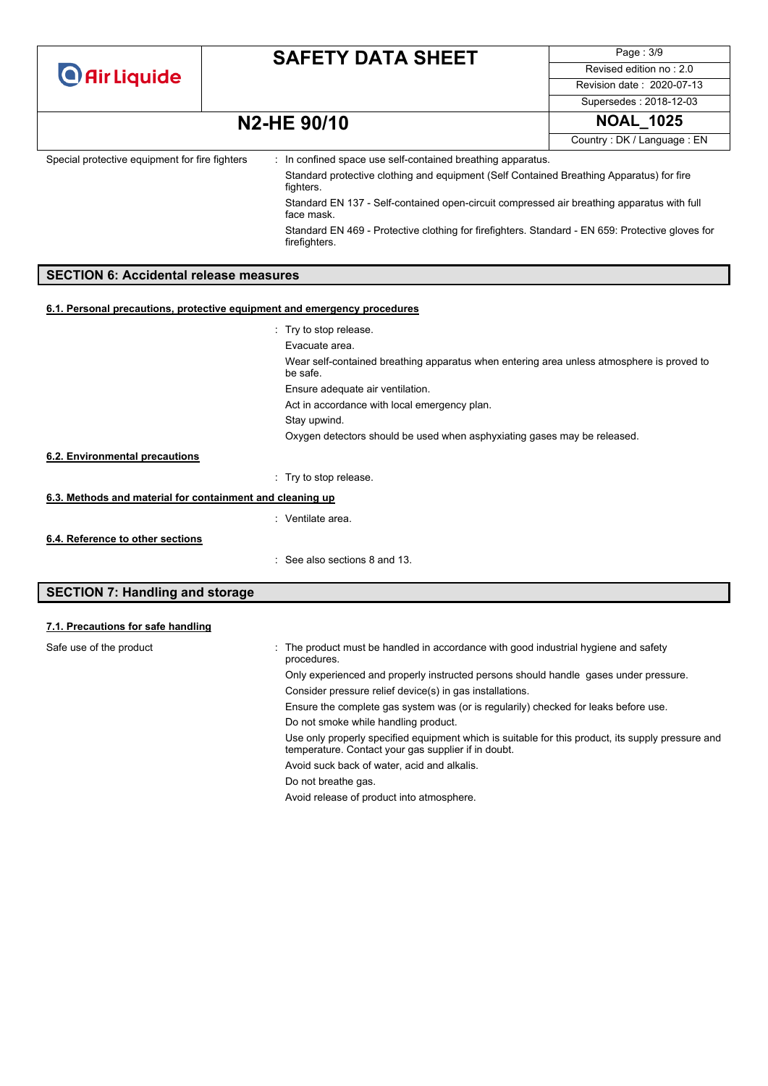|  | <b>O</b> Air Liquide |  |
|--|----------------------|--|
|  |                      |  |

Page : 3/9 Revised edition no : 2.0 Revision date : 2020-07-13

#### Supersedes : 2018-12-03

### **N2-HE 90/10 NOAL\_1025**

Country : DK / Language : EN

| Special protective equipment for fire fighters                           | : In confined space use self-contained breathing apparatus.                                                       |  |
|--------------------------------------------------------------------------|-------------------------------------------------------------------------------------------------------------------|--|
|                                                                          | Standard protective clothing and equipment (Self Contained Breathing Apparatus) for fire<br>fighters.             |  |
|                                                                          | Standard EN 137 - Self-contained open-circuit compressed air breathing apparatus with full<br>face mask.          |  |
|                                                                          | Standard EN 469 - Protective clothing for firefighters. Standard - EN 659: Protective gloves for<br>firefighters. |  |
|                                                                          |                                                                                                                   |  |
| <b>SECTION 6: Accidental release measures</b>                            |                                                                                                                   |  |
| 6.1. Personal precautions, protective equipment and emergency procedures |                                                                                                                   |  |
|                                                                          |                                                                                                                   |  |
|                                                                          | : Try to stop release                                                                                             |  |
|                                                                          | Evacuate area.                                                                                                    |  |
|                                                                          | Wear self-contained breathing apparatus when entering area unless atmosphere is proved to<br>be safe.             |  |
|                                                                          | Ensure adequate air ventilation.                                                                                  |  |
|                                                                          | Act in accordance with local emergency plan.                                                                      |  |
|                                                                          | Stay upwind.                                                                                                      |  |

### **6.2. Environmental precautions**

: Try to stop release.

### **6.3. Methods and material for containment and cleaning up**

- : Ventilate area.
- **6.4. Reference to other sections**

: See also sections 8 and 13.

### **SECTION 7: Handling and storage**

### **7.1. Precautions for safe handling**

| Safe use of the product | : The product must be handled in accordance with good industrial hygiene and safety<br>procedures.                                                       |
|-------------------------|----------------------------------------------------------------------------------------------------------------------------------------------------------|
|                         | Only experienced and properly instructed persons should handle gases under pressure.                                                                     |
|                         | Consider pressure relief device(s) in gas installations.                                                                                                 |
|                         | Ensure the complete gas system was (or is regularily) checked for leaks before use.                                                                      |
|                         | Do not smoke while handling product.                                                                                                                     |
|                         | Use only properly specified equipment which is suitable for this product, its supply pressure and<br>temperature. Contact your gas supplier if in doubt. |
|                         | Avoid suck back of water, acid and alkalis.                                                                                                              |
|                         | Do not breathe gas.                                                                                                                                      |
|                         | Avoid release of product into atmosphere.                                                                                                                |
|                         |                                                                                                                                                          |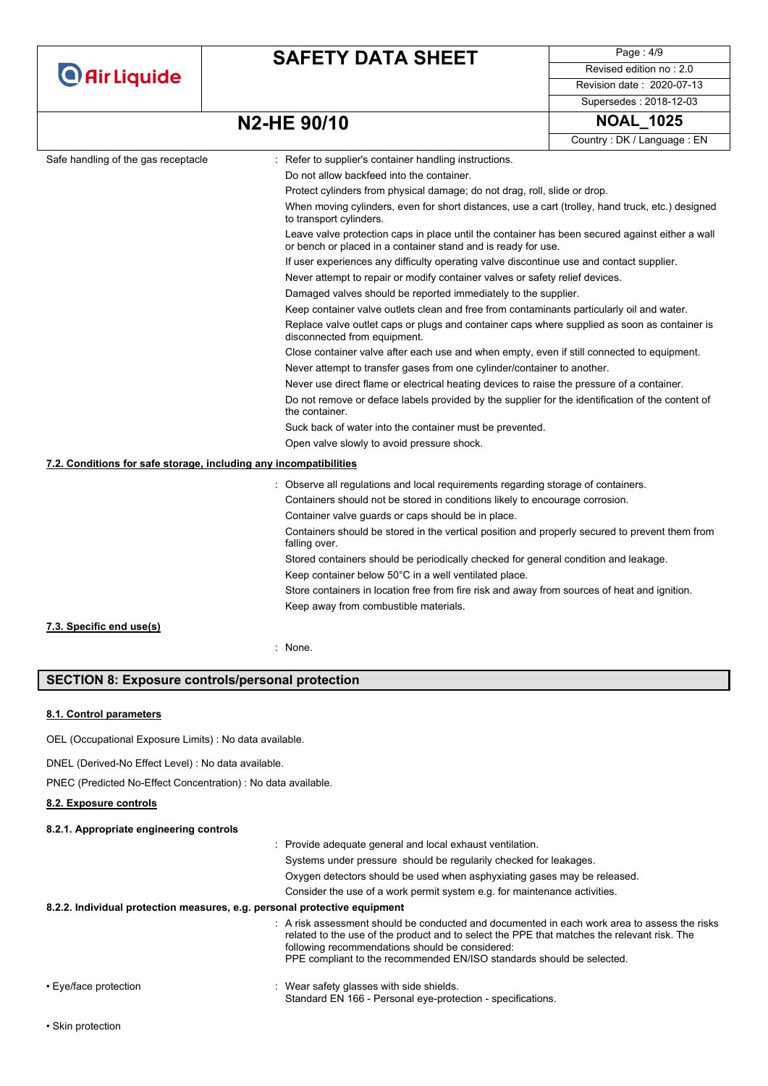|                                                                   | <b>SAFETY DATA SHEET</b>                                                                                                                                         | Page: 4/9                                                                                        |  |  |  |
|-------------------------------------------------------------------|------------------------------------------------------------------------------------------------------------------------------------------------------------------|--------------------------------------------------------------------------------------------------|--|--|--|
| <b>O</b> Air Liquide                                              |                                                                                                                                                                  | Revised edition no: 2.0                                                                          |  |  |  |
|                                                                   |                                                                                                                                                                  | Revision date: 2020-07-13                                                                        |  |  |  |
|                                                                   |                                                                                                                                                                  | Supersedes: 2018-12-03                                                                           |  |  |  |
|                                                                   | N2-HE 90/10                                                                                                                                                      | <b>NOAL 1025</b>                                                                                 |  |  |  |
|                                                                   |                                                                                                                                                                  | Country: DK / Language: EN                                                                       |  |  |  |
| Safe handling of the gas receptacle                               | : Refer to supplier's container handling instructions.                                                                                                           |                                                                                                  |  |  |  |
|                                                                   | Do not allow backfeed into the container.                                                                                                                        |                                                                                                  |  |  |  |
|                                                                   | Protect cylinders from physical damage; do not drag, roll, slide or drop.                                                                                        |                                                                                                  |  |  |  |
|                                                                   | to transport cylinders.                                                                                                                                          | When moving cylinders, even for short distances, use a cart (trolley, hand truck, etc.) designed |  |  |  |
|                                                                   | Leave valve protection caps in place until the container has been secured against either a wall<br>or bench or placed in a container stand and is ready for use. |                                                                                                  |  |  |  |
|                                                                   | If user experiences any difficulty operating valve discontinue use and contact supplier.                                                                         |                                                                                                  |  |  |  |
|                                                                   |                                                                                                                                                                  | Never attempt to repair or modify container valves or safety relief devices.                     |  |  |  |
|                                                                   |                                                                                                                                                                  | Damaged valves should be reported immediately to the supplier.                                   |  |  |  |
|                                                                   |                                                                                                                                                                  | Keep container valve outlets clean and free from contaminants particularly oil and water.        |  |  |  |
|                                                                   | disconnected from equipment.                                                                                                                                     | Replace valve outlet caps or plugs and container caps where supplied as soon as container is     |  |  |  |
|                                                                   | Close container valve after each use and when empty, even if still connected to equipment.                                                                       |                                                                                                  |  |  |  |
|                                                                   | Never attempt to transfer gases from one cylinder/container to another.                                                                                          |                                                                                                  |  |  |  |
|                                                                   | Never use direct flame or electrical heating devices to raise the pressure of a container.                                                                       |                                                                                                  |  |  |  |
|                                                                   | Do not remove or deface labels provided by the supplier for the identification of the content of<br>the container.                                               |                                                                                                  |  |  |  |
|                                                                   | Suck back of water into the container must be prevented.                                                                                                         |                                                                                                  |  |  |  |
| Open valve slowly to avoid pressure shock.                        |                                                                                                                                                                  |                                                                                                  |  |  |  |
| 7.2. Conditions for safe storage, including any incompatibilities |                                                                                                                                                                  |                                                                                                  |  |  |  |
|                                                                   | : Observe all regulations and local requirements regarding storage of containers.                                                                                |                                                                                                  |  |  |  |
|                                                                   | Containers should not be stored in conditions likely to encourage corrosion.                                                                                     |                                                                                                  |  |  |  |
|                                                                   | Container valve guards or caps should be in place.                                                                                                               |                                                                                                  |  |  |  |
|                                                                   | Containers should be stored in the vertical position and properly secured to prevent them from<br>falling over.                                                  |                                                                                                  |  |  |  |
|                                                                   | Stored containers should be periodically checked for general condition and leakage.                                                                              |                                                                                                  |  |  |  |
|                                                                   | Keep container below 50°C in a well ventilated place.                                                                                                            |                                                                                                  |  |  |  |
|                                                                   | Store containers in location free from fire risk and away from sources of heat and ignition.                                                                     |                                                                                                  |  |  |  |
|                                                                   |                                                                                                                                                                  |                                                                                                  |  |  |  |

**7.3. Specific end use(s)**

: None.

### **SECTION 8: Exposure controls/personal protection**

#### **8.1. Control parameters**

OEL (Occupational Exposure Limits) : No data available.

DNEL (Derived-No Effect Level) : No data available.

PNEC (Predicted No-Effect Concentration) : No data available.

**8.2. Exposure controls**

#### **8.2.1. Appropriate engineering controls**

- : Provide adequate general and local exhaust ventilation. Systems under pressure should be regularily checked for leakages. Oxygen detectors should be used when asphyxiating gases may be released. Consider the use of a work permit system e.g. for maintenance activities. **8.2.2. Individual protection measures, e.g. personal protective equipment** : A risk assessment should be conducted and documented in each work area to assess the risks related to the use of the product and to select the PPE that matches the relevant risk. The following recommendations should be considered: PPE compliant to the recommended EN/ISO standards should be selected. • Eye/face protection **in the state of the set of the set of the set of the set of the set of the set of the shields.**
- 

Standard EN 166 - Personal eye-protection - specifications.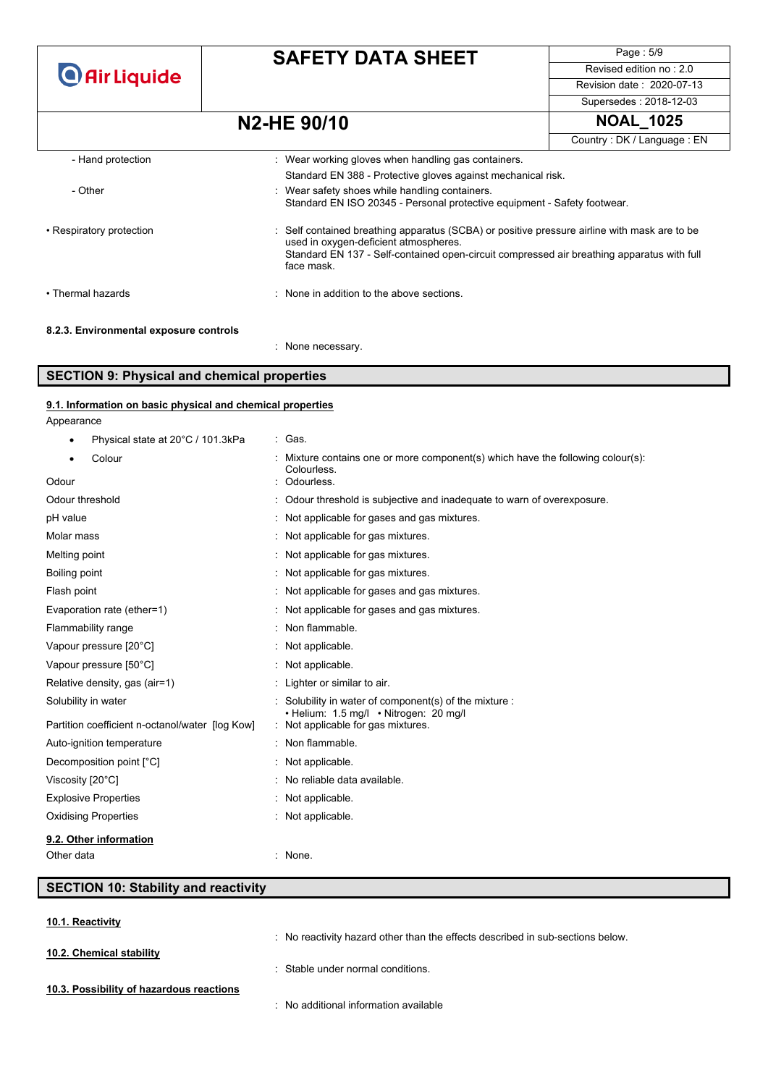**O** Air Liquide

## **SAFETY DATA SHEET**

Page : 5/9 Revised edition no : 2.0 Revision date : 2020-07-13

Supersedes : 2018-12-03

### **N2-HE 90/10 NOAL\_1025**

|                                        |                                                                                                                                                                                                                                                   | Country: DK / Language: EN |
|----------------------------------------|---------------------------------------------------------------------------------------------------------------------------------------------------------------------------------------------------------------------------------------------------|----------------------------|
| - Hand protection                      | : Wear working gloves when handling gas containers.                                                                                                                                                                                               |                            |
|                                        | Standard EN 388 - Protective gloves against mechanical risk.                                                                                                                                                                                      |                            |
| - Other                                | : Wear safety shoes while handling containers.<br>Standard EN ISO 20345 - Personal protective equipment - Safety footwear.                                                                                                                        |                            |
| • Respiratory protection               | : Self contained breathing apparatus (SCBA) or positive pressure airline with mask are to be<br>used in oxygen-deficient atmospheres.<br>Standard EN 137 - Self-contained open-circuit compressed air breathing apparatus with full<br>face mask. |                            |
| • Thermal hazards                      | : None in addition to the above sections.                                                                                                                                                                                                         |                            |
| 8.2.3. Environmental exposure controls |                                                                                                                                                                                                                                                   |                            |

### **SECTION 9: Physical and chemical properties**

### Appearance Physical state at 20°C / 101.3kPa : Gas. Colour : Mixture contains one or more component(s) which have the following colour(s): Colourless. Odour : Odourless. Odour threshold : Odour threshold is subjective and inadequate to warn of overexposure. pH value  $\blacksquare$  : Not applicable for gases and gas mixtures. Molar mass : Not applicable for gas mixtures. Melting point : Not applicable for gas mixtures. Boiling point **Example 20** Boiling point **:** Not applicable for gas mixtures. Flash point **Flash point Example 20** Flash point **CO** is a mixture of the state of the state of the state of the state of the state of the state of the state of the state of the state of the state of the state of the sta Evaporation rate (ether=1) : Not applicable for gases and gas mixtures. Flammability range  $\blacksquare$  : Non flammable. Vapour pressure [20°C]  $\qquad \qquad$ : Not applicable. Vapour pressure [50°C]  $\blacksquare$  : Not applicable. Relative density, gas (air=1) : Lighter or similar to air. Solubility in water solubility in water of component(s) of the mixture : • Helium: 1.5 mg/l • Nitrogen: 20 mg/l<br>: Not applicable for gas mixtures. Partition coefficient n-octanol/water [log Kow] Auto-ignition temperature **in the set of the set of the set of the set of the set of the set of the set of the set of the set of the set of the set of the set of the set of the set of the set of the set of the set of the s** Decomposition point  $[^{\circ}C]$  : Not applicable. Viscosity [20°C]  $\blacksquare$  : No reliable data available. Explosive Properties **in the Explosive Properties** in the Motor School School School School School School School School School School School School School School School School School School School School School School Scho Oxidising Properties : Not applicable. **9.1. Information on basic physical and chemical properties**

: None necessary.

### Other data in the set of the set of the set of the set of the set of the set of the set of the set of the set of the set of the set of the set of the set of the set of the set of the set of the set of the set of the set of **9.2. Other information**

# **SECTION 10: Stability and reactivity**

**10.1. Reactivity**

**10.2. Chemical stability**

: No reactivity hazard other than the effects described in sub-sections below.

- **10.3. Possibility of hazardous reactions**
- : No additional information available

: Stable under normal conditions.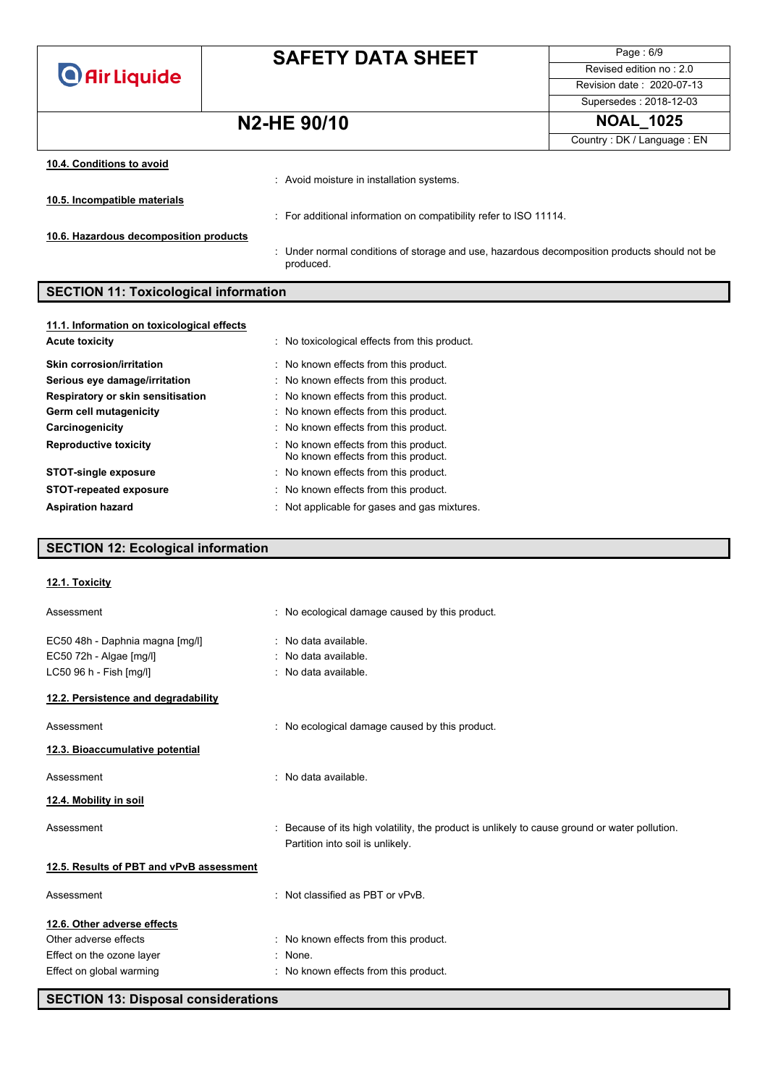**O** Air Liquide

# **SAFETY DATA SHEET**

Page : 6/9 Revised edition no : 2.0 Revision date : 2020-07-13 Supersedes : 2018-12-03

## **N2-HE 90/10 NOAL\_1025**

Country : DK / Language : EN

| 10.4. Conditions to avoid              |                                                                                                           |
|----------------------------------------|-----------------------------------------------------------------------------------------------------------|
|                                        | : Avoid moisture in installation systems.                                                                 |
| 10.5. Incompatible materials           |                                                                                                           |
|                                        | : For additional information on compatibility refer to ISO 11114.                                         |
| 10.6. Hazardous decomposition products |                                                                                                           |
|                                        | : Under normal conditions of storage and use, hazardous decomposition products should not be<br>produced. |

### **SECTION 11: Toxicological information**

| 11.1. Information on toxicological effects |                                                                              |
|--------------------------------------------|------------------------------------------------------------------------------|
| <b>Acute toxicity</b>                      | : No toxicological effects from this product.                                |
| <b>Skin corrosion/irritation</b>           | : No known effects from this product.                                        |
| Serious eye damage/irritation              | : No known effects from this product.                                        |
| Respiratory or skin sensitisation          | : No known effects from this product.                                        |
| Germ cell mutagenicity                     | : No known effects from this product.                                        |
| Carcinogenicity                            | : No known effects from this product.                                        |
| <b>Reproductive toxicity</b>               | : No known effects from this product.<br>No known effects from this product. |
| <b>STOT-single exposure</b>                | : No known effects from this product.                                        |
| <b>STOT-repeated exposure</b>              | : No known effects from this product.                                        |
| <b>Aspiration hazard</b>                   | : Not applicable for gases and gas mixtures.                                 |

### **SECTION 12: Ecological information**

| 12.1. Toxicity                           |                                                                                                                                   |
|------------------------------------------|-----------------------------------------------------------------------------------------------------------------------------------|
| Assessment                               | : No ecological damage caused by this product.                                                                                    |
| EC50 48h - Daphnia magna [mg/l]          | : No data available.                                                                                                              |
| EC50 72h - Algae [mg/l]                  | $:$ No data available.                                                                                                            |
| LC50 96 h - Fish [mg/l]                  | : No data available.                                                                                                              |
| 12.2. Persistence and degradability      |                                                                                                                                   |
| Assessment                               | : No ecological damage caused by this product.                                                                                    |
| 12.3. Bioaccumulative potential          |                                                                                                                                   |
| Assessment                               | : No data available.                                                                                                              |
| 12.4. Mobility in soil                   |                                                                                                                                   |
| Assessment                               | : Because of its high volatility, the product is unlikely to cause ground or water pollution.<br>Partition into soil is unlikely. |
| 12.5. Results of PBT and vPvB assessment |                                                                                                                                   |
| Assessment                               | : Not classified as PBT or vPvB.                                                                                                  |
| 12.6. Other adverse effects              |                                                                                                                                   |
| Other adverse effects                    | : No known effects from this product.                                                                                             |
| Effect on the ozone layer                | : None.                                                                                                                           |
| Effect on global warming                 | : No known effects from this product.                                                                                             |
|                                          |                                                                                                                                   |

**SECTION 13: Disposal considerations**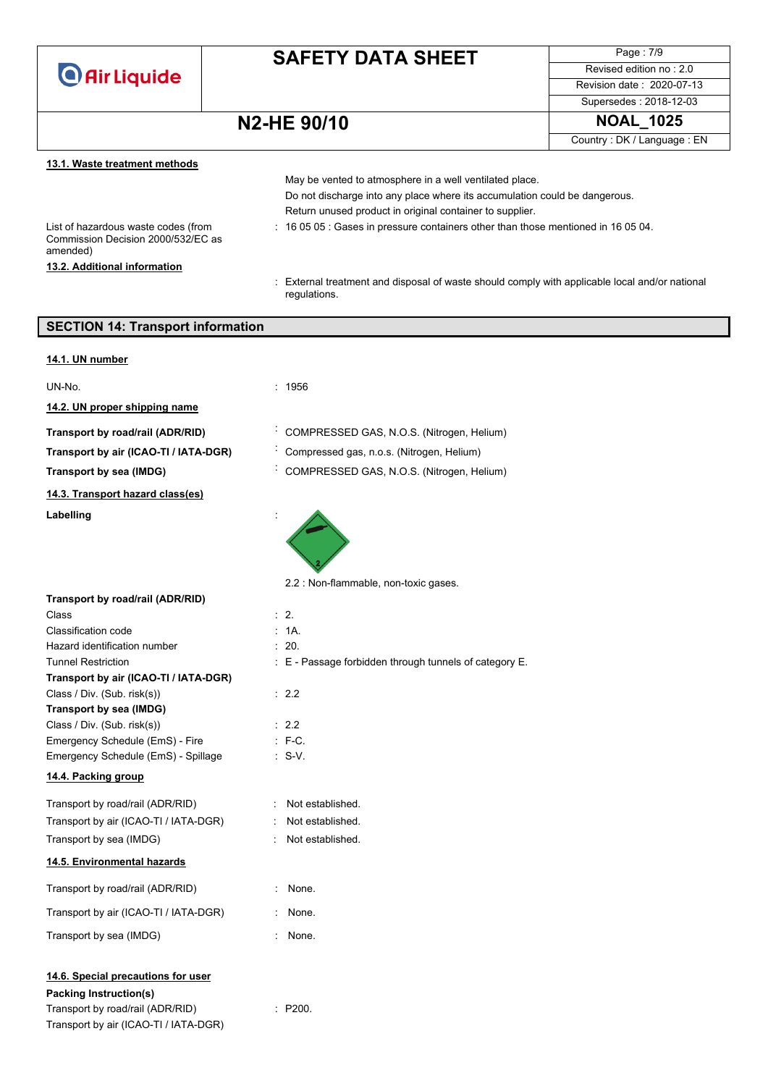

Page : 7/9 Revised edition no : 2.0 Revision date : 2020-07-13

## **N2-HE** 90/10

| Supersedes: 2018-12-03 |  |
|------------------------|--|
| <b>NOAL 1025</b>       |  |

Country : DK / Language : EN

| 13.1. Waste treatment methods |  |  |
|-------------------------------|--|--|
|-------------------------------|--|--|

|                                                                                       | May be vented to atmosphere in a well ventilated place.                                                        |
|---------------------------------------------------------------------------------------|----------------------------------------------------------------------------------------------------------------|
|                                                                                       | Do not discharge into any place where its accumulation could be dangerous.                                     |
|                                                                                       | Return unused product in original container to supplier.                                                       |
| List of hazardous waste codes (from<br>Commission Decision 2000/532/EC as<br>amended) | $\div$ 16 05 05 $\div$ Gases in pressure containers other than those mentioned in 16 05 04.                    |
| 13.2. Additional information                                                          |                                                                                                                |
|                                                                                       | : External treatment and disposal of waste should comply with applicable local and/or national<br>regulations. |
|                                                                                       |                                                                                                                |
| <b>SECTION 14: Transport information</b>                                              |                                                                                                                |
|                                                                                       |                                                                                                                |

| 14.1. UN number                                                                                                                                  |                                                        |
|--------------------------------------------------------------------------------------------------------------------------------------------------|--------------------------------------------------------|
| UN-No.                                                                                                                                           | : 1956                                                 |
| 14.2. UN proper shipping name                                                                                                                    |                                                        |
|                                                                                                                                                  |                                                        |
| Transport by road/rail (ADR/RID)                                                                                                                 | COMPRESSED GAS, N.O.S. (Nitrogen, Helium)              |
| Transport by air (ICAO-TI / IATA-DGR)                                                                                                            | Compressed gas, n.o.s. (Nitrogen, Helium)              |
| Transport by sea (IMDG)                                                                                                                          | COMPRESSED GAS, N.O.S. (Nitrogen, Helium)              |
| 14.3. Transport hazard class(es)                                                                                                                 |                                                        |
| Labelling                                                                                                                                        |                                                        |
|                                                                                                                                                  | 2.2 : Non-flammable, non-toxic gases.                  |
| Transport by road/rail (ADR/RID)                                                                                                                 |                                                        |
| Class                                                                                                                                            | $\therefore$ 2.                                        |
| Classification code<br>Hazard identification number                                                                                              | : 1A.                                                  |
| <b>Tunnel Restriction</b>                                                                                                                        | : 20.                                                  |
| Transport by air (ICAO-TI / IATA-DGR)                                                                                                            | : E - Passage forbidden through tunnels of category E. |
| Class / Div. (Sub. risk(s))                                                                                                                      | $\therefore$ 2.2                                       |
| Transport by sea (IMDG)                                                                                                                          |                                                        |
| Class / Div. (Sub. risk(s))                                                                                                                      | $\therefore$ 2.2                                       |
| Emergency Schedule (EmS) - Fire                                                                                                                  | $\therefore$ F-C.                                      |
| Emergency Schedule (EmS) - Spillage                                                                                                              | $\therefore$ S-V.                                      |
| 14.4. Packing group                                                                                                                              |                                                        |
| Transport by road/rail (ADR/RID)                                                                                                                 | Not established.                                       |
| Transport by air (ICAO-TI / IATA-DGR)                                                                                                            | Not established.                                       |
| Transport by sea (IMDG)                                                                                                                          | $\sim$<br>Not established.                             |
| 14.5. Environmental hazards                                                                                                                      |                                                        |
| Transport by road/rail (ADR/RID)                                                                                                                 | : None.                                                |
| Transport by air (ICAO-TI / IATA-DGR)                                                                                                            | None.                                                  |
| Transport by sea (IMDG)                                                                                                                          | : None.                                                |
| 14.6. Special precautions for user<br><b>Packing Instruction(s)</b><br>Transport by road/rail (ADR/RID)<br>Transport by air (ICAO-TI / IATA-DGR) | : P200.                                                |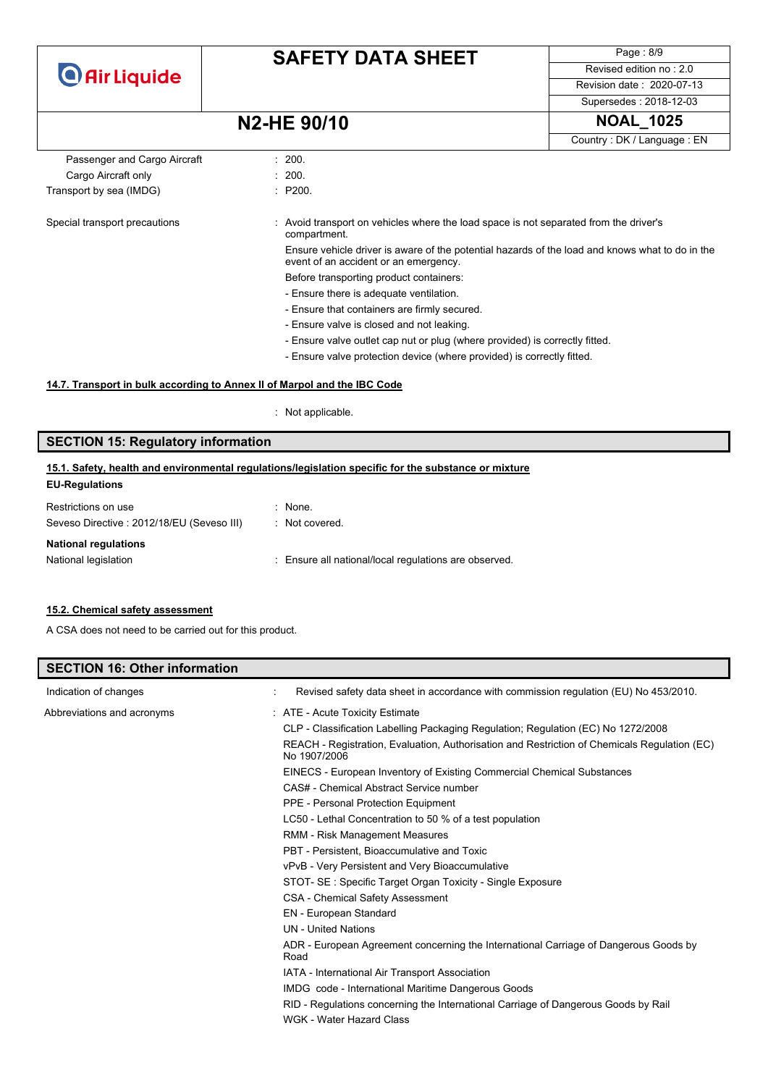

Page : 8/9 Revised edition no : 2.0 Revision date : 2020-07-13

Supersedes : 2018-12-03

### **N2-HE 90/10 NOAL\_1025**

|                               | 11471 IL JU/ IU                                                                                                                          | - - - - -                  |
|-------------------------------|------------------------------------------------------------------------------------------------------------------------------------------|----------------------------|
|                               |                                                                                                                                          | Country: DK / Language: EN |
| Passenger and Cargo Aircraft  | : 200.                                                                                                                                   |                            |
| Cargo Aircraft only           | : 200.                                                                                                                                   |                            |
| Transport by sea (IMDG)       | : P200.                                                                                                                                  |                            |
| Special transport precautions | Avoid transport on vehicles where the load space is not separated from the driver's<br>compartment.                                      |                            |
|                               | Ensure vehicle driver is aware of the potential hazards of the load and knows what to do in the<br>event of an accident or an emergency. |                            |
|                               | Before transporting product containers:                                                                                                  |                            |
|                               | - Ensure there is adequate ventilation.                                                                                                  |                            |
|                               | - Ensure that containers are firmly secured.                                                                                             |                            |
|                               | - Ensure valve is closed and not leaking.                                                                                                |                            |
|                               | - Ensure valve outlet cap nut or plug (where provided) is correctly fitted.                                                              |                            |
|                               | - Ensure valve protection device (where provided) is correctly fitted.                                                                   |                            |
|                               |                                                                                                                                          |                            |

### **14.7. Transport in bulk according to Annex II of Marpol and the IBC Code**

: Not applicable.

### **SECTION 15: Regulatory information**

### **EU-Regulations 15.1. Safety, health and environmental regulations/legislation specific for the substance or mixture**

| $:$ None.                                             |
|-------------------------------------------------------|
| : Not covered.                                        |
|                                                       |
| : Ensure all national/local regulations are observed. |
|                                                       |

#### **15.2. Chemical safety assessment**

A CSA does not need to be carried out for this product.

| <b>SECTION 16: Other information</b> |                                                                                                              |
|--------------------------------------|--------------------------------------------------------------------------------------------------------------|
| Indication of changes                | Revised safety data sheet in accordance with commission regulation (EU) No 453/2010.                         |
| Abbreviations and acronyms           | : ATE - Acute Toxicity Estimate                                                                              |
|                                      | CLP - Classification Labelling Packaging Regulation; Regulation (EC) No 1272/2008                            |
|                                      | REACH - Registration, Evaluation, Authorisation and Restriction of Chemicals Regulation (EC)<br>No 1907/2006 |
|                                      | EINECS - European Inventory of Existing Commercial Chemical Substances                                       |
|                                      | CAS# - Chemical Abstract Service number                                                                      |
|                                      | PPE - Personal Protection Equipment                                                                          |
|                                      | LC50 - Lethal Concentration to 50 % of a test population                                                     |
|                                      | RMM - Risk Management Measures                                                                               |
|                                      | PBT - Persistent, Bioaccumulative and Toxic                                                                  |
|                                      | vPvB - Very Persistent and Very Bioaccumulative                                                              |
|                                      | STOT- SE: Specific Target Organ Toxicity - Single Exposure                                                   |
|                                      | <b>CSA - Chemical Safety Assessment</b>                                                                      |
|                                      | EN - European Standard                                                                                       |
|                                      | <b>UN</b> - United Nations                                                                                   |
|                                      | ADR - European Agreement concerning the International Carriage of Dangerous Goods by<br>Road                 |
|                                      | IATA - International Air Transport Association                                                               |
|                                      | IMDG code - International Maritime Dangerous Goods                                                           |
|                                      | RID - Regulations concerning the International Carriage of Dangerous Goods by Rail                           |
|                                      | WGK - Water Hazard Class                                                                                     |
|                                      |                                                                                                              |